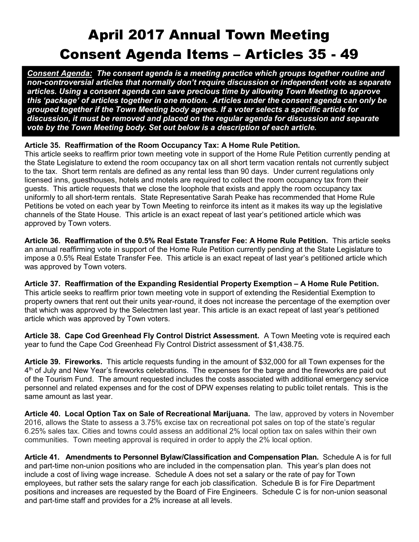## April 2017 Annual Town Meeting Consent Agenda Items – Articles 35 - 49

Consent Agenda: The consent agenda is a meeting practice which groups together routine and non-controversial articles that normally don't require discussion or independent vote as separate articles. Using a consent agenda can save precious time by allowing Town Meeting to approve this 'package' of articles together in one motion. Articles under the consent agenda can only be grouped together if the Town Meeting body agrees. If a voter selects a specific article for discussion, it must be removed and placed on the regular agenda for discussion and separate vote by the Town Meeting body. Set out below is a description of each article.

## Article 35. Reaffirmation of the Room Occupancy Tax: A Home Rule Petition.

This article seeks to reaffirm prior town meeting vote in support of the Home Rule Petition currently pending at the State Legislature to extend the room occupancy tax on all short term vacation rentals not currently subject to the tax. Short term rentals are defined as any rental less than 90 days. Under current regulations only licensed inns, guesthouses, hotels and motels are required to collect the room occupancy tax from their guests. This article requests that we close the loophole that exists and apply the room occupancy tax uniformly to all short-term rentals. State Representative Sarah Peake has recommended that Home Rule Petitions be voted on each year by Town Meeting to reinforce its intent as it makes its way up the legislative channels of the State House. This article is an exact repeat of last year's petitioned article which was approved by Town voters.

Article 36. Reaffirmation of the 0.5% Real Estate Transfer Fee: A Home Rule Petition. This article seeks an annual reaffirming vote in support of the Home Rule Petition currently pending at the State Legislature to impose a 0.5% Real Estate Transfer Fee. This article is an exact repeat of last year's petitioned article which was approved by Town voters.

Article 37. Reaffirmation of the Expanding Residential Property Exemption – A Home Rule Petition. This article seeks to reaffirm prior town meeting vote in support of extending the Residential Exemption to property owners that rent out their units year-round, it does not increase the percentage of the exemption over that which was approved by the Selectmen last year. This article is an exact repeat of last year's petitioned article which was approved by Town voters.

Article 38. Cape Cod Greenhead Fly Control District Assessment. A Town Meeting vote is required each year to fund the Cape Cod Greenhead Fly Control District assessment of \$1,438.75.

Article 39. Fireworks. This article requests funding in the amount of \$32,000 for all Town expenses for the 4<sup>th</sup> of July and New Year's fireworks celebrations. The expenses for the barge and the fireworks are paid out of the Tourism Fund. The amount requested includes the costs associated with additional emergency service personnel and related expenses and for the cost of DPW expenses relating to public toilet rentals. This is the same amount as last year.

Article 40. Local Option Tax on Sale of Recreational Marijuana. The law, approved by voters in November 2016, allows the State to assess a 3.75% excise tax on recreational pot sales on top of the state's regular 6.25% sales tax. Cities and towns could assess an additional 2% local option tax on sales within their own communities. Town meeting approval is required in order to apply the 2% local option.

Article 41. Amendments to Personnel Bylaw/Classification and Compensation Plan. Schedule A is for full and part-time non-union positions who are included in the compensation plan. This year's plan does not include a cost of living wage increase. Schedule A does not set a salary or the rate of pay for Town employees, but rather sets the salary range for each job classification. Schedule B is for Fire Department positions and increases are requested by the Board of Fire Engineers. Schedule C is for non-union seasonal and part-time staff and provides for a 2% increase at all levels.